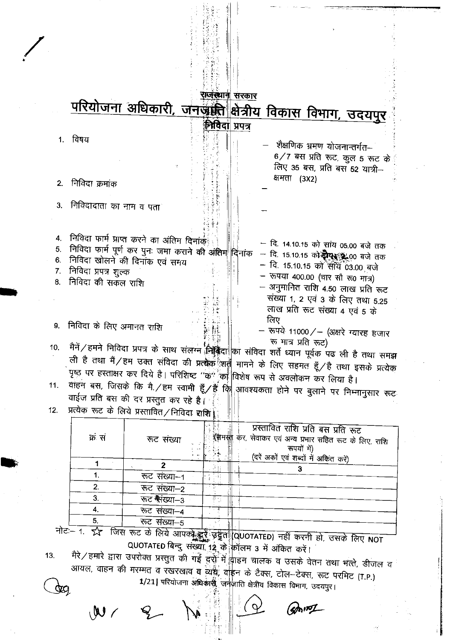|                            |                                            | परियोजना अधिकारी, जनजाती क्षेत्रीय विकास विभाग, उदयपुर                                                                                                                                                                                                                               | राजस्थान सरकार   |     |                                                                                                                                                                                                                                                                        |  |
|----------------------------|--------------------------------------------|--------------------------------------------------------------------------------------------------------------------------------------------------------------------------------------------------------------------------------------------------------------------------------------|------------------|-----|------------------------------------------------------------------------------------------------------------------------------------------------------------------------------------------------------------------------------------------------------------------------|--|
| 1.                         | विषय                                       |                                                                                                                                                                                                                                                                                      | स्मिवेदा प्रपत्र |     | शैक्षणिक भ्रमण योजनान्तर्गत–<br>6/7 बस प्रति रूट, कुल 5 रूट के                                                                                                                                                                                                         |  |
| 2.                         | निविदा क्रमांक                             |                                                                                                                                                                                                                                                                                      |                  |     | लिए 35 बस, प्रति बस 52 यात्री-<br>क्षमता (3X2)                                                                                                                                                                                                                         |  |
| 3.                         | निविदादाता का नाम व पता                    |                                                                                                                                                                                                                                                                                      |                  |     |                                                                                                                                                                                                                                                                        |  |
| 4.<br>5.<br>6.<br>7.<br>8. | निविदा प्रपत्र शुल्क<br>निविदा की सकल राशि | निविदा फार्म प्राप्त करने का अंतिम दिनांके<br>निविदा फार्म पूर्ण कर पुनः जमा कराने की अंतिम दिनांक<br>निविदा खोलने की दिनांक एवं समय                                                                                                                                                 |                  | लिए | — दि. 14.10.15 को सांय 05.00 बजे तक<br>— दि. 15.10.15 को <b>दोए उ</b> .00 बजे तक<br>— दि. 15.10.15 को साथ 03.00 बजे<br>- रूपया 400.00 (चार सौ रू0 मात्र)<br>– अनुमानित राशि 4.50 लाख प्रति रूट<br>संख्या 1, 2 एवं 3 के लिए तथा 5.25<br>लाख प्रति रूट संख्या 4 एवं 5 के |  |
| 9.                         | निविदा के लिए अमानत राशि                   |                                                                                                                                                                                                                                                                                      |                  |     | - रूपये 11000/- (अक्षरे ग्यारह हजार<br>रू मात्र प्रति रूट)                                                                                                                                                                                                             |  |
| 10.                        |                                            | मैनें / हमने निविदा प्रपत्र के साथ संलग्न निक्कित का संविदा शर्ते ध्यान पूर्वक पढ ली है तथा समझ<br>ली है तथा मैं / हम उक्त संविदा की प्रत्यक ्रीशती मानने के लिए सहमत हूँ / है तथा इसके प्रत्येक<br>पृष्ठ पर हस्ताक्षर कर दिये है। परिशिष्ट ''क'' को विशेष रूप से अवलोकन कर लिया है। |                  |     |                                                                                                                                                                                                                                                                        |  |
| 11.                        |                                            | वाहन बस, जिसके कि मै./हम स्वामी हूँ/हैं कि आवश्यकता होने पर बुलाने पर निम्नानुसार रूट                                                                                                                                                                                                |                  |     |                                                                                                                                                                                                                                                                        |  |
| 12.                        |                                            | वाईज प्रति बस की दर प्रस्तुत कर रहे है।<br>प्रत्येक रूट के लिये प्रस्तावित∕निविदा राशि।                                                                                                                                                                                              |                  |     |                                                                                                                                                                                                                                                                        |  |
|                            | क सं                                       | रूट संख्या                                                                                                                                                                                                                                                                           |                  |     | प्रस्तावित राशि प्रति बस प्रति रूट<br>रें <del>गा सी.</del> कर, सेवाकर एवं अन्य प्रभार सहित रूट के लिए, राशि<br>रूपयों में)<br>(दरें अकों एवं शब्दों में अकिंत करें)                                                                                                   |  |
|                            | 1                                          | $\mathbf{z}$                                                                                                                                                                                                                                                                         |                  |     | 3                                                                                                                                                                                                                                                                      |  |
|                            | 1.                                         | रूट संख्या-1                                                                                                                                                                                                                                                                         | 된다               |     |                                                                                                                                                                                                                                                                        |  |
|                            | 2.                                         | रूट संख्या–2                                                                                                                                                                                                                                                                         |                  |     |                                                                                                                                                                                                                                                                        |  |
|                            | 3.                                         | रूट गैरंख्या-3                                                                                                                                                                                                                                                                       | ∯ j              |     |                                                                                                                                                                                                                                                                        |  |
|                            | 4.                                         | रूट संख्या-4                                                                                                                                                                                                                                                                         |                  |     |                                                                                                                                                                                                                                                                        |  |
|                            | 5.                                         | रूट संख्या–5                                                                                                                                                                                                                                                                         | Á                |     |                                                                                                                                                                                                                                                                        |  |

नोट - 1 र्रूट जिस रूट के लिये आपको हुई उड्डैत QUOTATED) नहीं करनी हो, उसके लिए NOT QUOTATED बिन्दु संख्या 12 के कॉलम 3 में अंकित करें।

मैरे / हमारे द्वारा उपरोक्त प्रस्तुत की गई दुर्रो में <mark>वाहन चालक व उसके वेतन तथा भत्ते, डीजल व</mark>  $13.$ आयल, वाहन की मरम्मत व रखरखाव व व्ययें; वाहन के टैक्स, टोल-टेक्स, रूट परमिट (T.P.) 1/21| परियोजना अधिकार्स् जनजीति क्षेत्रीय विकास विभाग, उदयपुर।  $\frac{d}{d}$ 

 $M$ 

(smIT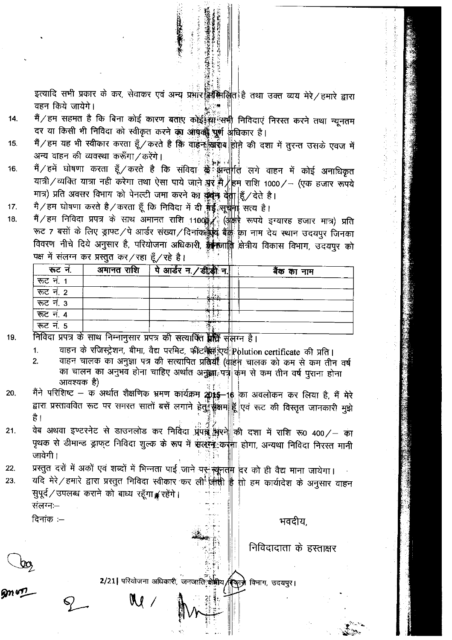इत्यादि सभी प्रकार के कर, सेवाकर एवं अन्य प्रभार क्रिकिलित है तथा उक्त व्यय मेरे/हमारे द्वारा वहन किये जायेगे।

- मैं / हम सहमत है कि बिना कोई कारण बताए कोईईसा सभी निविदाएं निरस्त करने तथा न्यूनतम 14. दर या किसी भी निविदा को स्वीकृत करने का आपली पूर्ण अधिकार है।
- मैं / हम यह भी स्वीकार करता हूँ / करते है कि वाइन ख़ब्बाब होने की दशा में तुरन्त उसके एवज में 15. अन्य वाहन की व्यवस्था करूँगा / करेंगे।
- जन्म भारत भर स्वरूप करता है/ करते है कि संविदा के अनुसारी<br>मैं/हमें घोषणा करता हूँ/करते है कि संविदा के अनुर्गित लगे वाहन में कोई अनाधिकृत 16. यात्री/व्यक्ति यात्रा नहीं करेगा तथा ऐसा पाये जाने गुर मै/हम राशि 1000/- (एक हजार रूपये मात्र) प्रति अवसर विभाग को पेनल्टी जमा करने का कुकूद देता हूँ/देते है।
- मे/हम घोषणा करते है/करता हूँ कि निविदा में दी **गुड़** सुचाना सत्य है। 17.
- मैं/हम निविदा प्रपत्र के साथ अमानत राशि 1100 (अक्षर रूपये इग्यारह हजार मात्र) प्रति 18. रूट 7 बसों के लिए ड्राफ्ट/पे आर्डर संख्या/दिनांक क्षेत्र बैंक का नाम देय स्थान उदयपुर जिनका विवरण नीचे दिये अनुसार है, परियोजना अधिकारी, कुल्लानि क्षेत्रीय विकास विभाग, उदयपुर को पक्ष में संलग्न कर प्रस्तुत कर/रहा हूँ/रहे है।

| रूट न.                                                                      | अमानत राशि | पे आर्डर न. / डीड़ी न. | बैंक का नाम |
|-----------------------------------------------------------------------------|------------|------------------------|-------------|
| रूट नं. 1                                                                   |            |                        |             |
| रूट नं. 2                                                                   |            |                        |             |
| $\overline{77}$ $\overline{7}$ $\overline{7}$ $\overline{7}$ $\overline{3}$ |            |                        |             |
| रूट नं. $4$                                                                 |            |                        |             |
| रूट नं. 5                                                                   |            |                        |             |
| $\bar{\frown}$                                                              |            |                        |             |

19. निर्विदा प्रपत्र के साथ निम्नानुसार प्रपत्र की संत्याफित ब्रैल्कि संलग्न है।

- वाहन के रजिस्ट्रेशन, बीमा, वैद्य परमिट, फीटने एवं Polution certificate की प्रति।  $\mathbf{1}$ .
- वाहन चालक का अनुज्ञा पत्र की सत्यापित प्रविर्यां (वाहन चालक को कम से कम तीन वर्ष  $2.$ का चालन का अनुभव होना चाहिए अर्थात अनुक्ला पत्री कम से कम तीन वर्ष पुराना होना आवश्यक है)
- मैंने परिशिष्ट क अर्थात शैक्षणिक भ्रमण कार्यक्रम 20% ||<br>मैंने परिशिष्ट क अर्थात शैक्षणिक भ्रमण कार्यक्रम 20% ||6 का अवलोकन कर लिया है, मैं मेरे 20. द्वारा प्रस्ताववित रूट पर समस्त सातों बसें लगाने हेतुं कुक्षम हूँ एवं रूट की विस्तृत जानकारी मुझे है।
- वेब अथवा इण्टरनेट से डाउनलोड कर निर्विदा प्रपन्न भरने की दशा में राशि रू0 400/ का  $21.$ पृथक से डीमान्ड ड्राफ्ट निविदा शुल्क के रूप में संलोक कर्नूना होगा, अन्यथा निविदा निरस्त मानी जावेगी !
- प्रस्तुत दरों में अकों एवं शब्दों में भिन्नता पाई जाने पर सूनती दिर को ही वैद्य माना जायेगा।  $22.$

 $\mathbb{N}$  /

यदि मेरे/हमारे द्वारा प्रस्तुत निविदा स्वीकार कर ली जाती है तो हम कार्यादेश के अनुसार वाहन 23. सुपूर्व ⁄ उपलब्ध कराने को बाध्य रहँगा ¥ रहेंगे। संलग्न:—

दिनांक $:=$ 

भवदीय.

निविदादाता के हस्ताक्षर

2/21 परियोजना अधिकारी, जनजाति क्षेत्रीय (देकाजे विभाग, उदयपुर।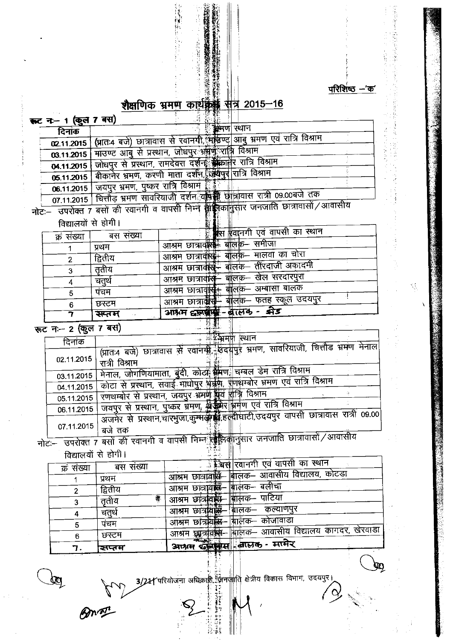

はいしゃ じょうす

法自己的 装骨后的 计通信参数 计可能化学协同 化

SŞ,

计算 化异丙基苯胺

 $\mathbb{Q}$ 

#### शैक्षणिक भ्रमण काइ <u>संत्र 2015–16</u>

一个 法行政的 经经济分析

医腰髓板的 化

| इन्ट न− 1 (कुल 7 बस) |                                                    |                                                                                              |
|----------------------|----------------------------------------------------|----------------------------------------------------------------------------------------------|
| दिनांक               |                                                    | <b>ु कुमण  स्थान</b>                                                                         |
| 02.11.2015           |                                                    | (प्रातः4 बजे) छात्रावास से रवानगी, महिण्ट आबु भ्रमण एवं रात्रि विश्राम                       |
|                      |                                                    | 03.11.2015   माउण्ट आबु से प्रस्थान, जोधपुर अमेर्फ रात्नि विश्राम                            |
| 04.11.2015           |                                                    | जोधपुर से प्रस्थान, रामदेवरा दर्शन <b>े क्रिकानेर रात्रि विश्राम</b>                         |
|                      |                                                    | 05.11.2015   बीकानेर भ्रमण, करणी माता दर्शन, त्रिवेद्यपुर रात्रि विश्राम                     |
|                      | 06.11.2015 जयपुर भ्रमण, पुष्कर रात्रि विश्राम हिंद |                                                                                              |
|                      |                                                    | 07.11.2015   चित्तौड़ भ्रमण सावरियाजी दर्शन वर्षि में छोत्रावास रात्री 09.00बजे तक           |
|                      |                                                    | नोटः उपरोक्त 7 बसों की रवानगी व वापसी निम्ने क्रिकिन्द्विकानुसार जनजाति छात्रावासों / आवासीय |
| विद्यालयों से होगी।  |                                                    |                                                                                              |
| क्र संख्या           | बस संख्या                                          | क्रिस हवानगी एवं वापसी का स्थान                                                              |
|                      | प्रथम                                              | आश्रम छात्रावारे बालक- समीजा                                                                 |
|                      | $\bar{\mathcal{R}}$ $\bar{\mathcal{R}}$            | <del>नीतक</del> मात्रता का चोरा<br>$\overline{\phantom{a}}$                                  |

|         | − ਵਾਲਾ ਵਾਲ                                                          |
|---------|---------------------------------------------------------------------|
| सप्तम   | झेड<br>आश्रम दृष्ट्यप्रसंस्कृ - बालक<br>$\sim 0.04$ and $\sim 0.01$ |
| छस्टम   | आश्रम छात्राईसिं बालक- फतह स्कूल उदयपुर                             |
| पचम     |                                                                     |
|         | आश्रम छात्राव <del>ृद्धिः।</del> बालक- अम्बासा बालक                 |
| चतथे    | आश्रम छात्रावास् बालक- खेल सरदारपुरा                                |
| तताय    |                                                                     |
|         | ेआश्रम छात्रावीस्ै- बोलक— तीरदाजी अकादमी                            |
| द्वितीय | ' आश्रम छात्रावं <del>सि</del> ५<br>ंबालक- मालवा का चोरा            |
| प्रथन   | OUAL OF THE SEA<br>THE LET<br>.                                     |

 $\frac{1}{\sqrt{2}}$  ( $\frac{1}{\sqrt{2}}$  ax)

 $-24$  $\hat{\mathcal{A}}$ 

| दिनांक     | ास्थान<br>⊹¥?भम∯ा                                                                   |
|------------|-------------------------------------------------------------------------------------|
|            | (प्रात:4 बजे) छात्रावास से रवानमी देखदापुर भ्रमण, सावरियाजी, चित्तौड भ्रमण मेनाल    |
| 02.11.2015 | रात्री विश्राम                                                                      |
| 03.11.2015 | मेनाल, जोगणियामाता, बुंदी, कोट्ये क्रैमणः चम्बल डेम रात्रि विश्राम                  |
| 04.11.2015 | कोटा से प्रस्थान, सवाई माधोपुर भूक्रुण, राणिथम्बोर भ्रमण एवं रात्रि विश्राम         |
| 05.11.2015 | रणथम्बोर से प्रस्थान, जयपुर भ्रमण प्रव शक्ति विश्राम                                |
| 06.11.2015 | जयपुर से प्रस्थान, पुष्कर भ्रमण, क्षेर्क्षमेर भ्रमण एवं रात्रि विश्राम              |
|            | अजमेर से प्रस्थान,चारमुजा,कुम्मदी द्विहल्लीघाटी,उदयपुर वापसी छात्रावास रात्री 09.00 |
| 07.11.2015 | बज तक<br><del>ाफ़ सालल उक्</del> तानि फ़ानातासो / आवासीय                            |

जनजात

उपराक्त 7 बसा क<br>विद्यालयों से होगी।

| क्रं संख्या | बस संख्या | <u>े हिंबस रिवानगी एवं वापसी का स्थान</u>                 |
|-------------|-----------|-----------------------------------------------------------|
|             | प्रथम     | आश्रम छात्रावसि बालक- आवासीय विद्यालय, कोटडा              |
|             | द्वितीय   | आश्रम छात्रावस्त्र- बालक- बलीचा                           |
|             | 搴<br>ततीय | आश्रम छात्रविसे- बालक- पाटिया                             |
|             | चतुर्थ    | आश्रम छात्रविल्लि— बालक— कल्याणपुर                        |
|             | पचम       | आश्रम छात्रविस्म- बालक- कोजावाडा                          |
| 6           | छस्टम     | आश्रम छुट्टजीवर्की-सिलिक- आवासीय विद्यालय कागदर, खेरवाड़ा |
|             | ञ्चप्तम   | <b>READY OF</b><br>आश्रम कुलिबिस बिलिक - मार्मेर          |

 $\sum_{i=1}^{n} \frac{1}{i}$  and the figure of the final function  $\theta$  ( $\theta$ ) and  $\theta$  ( $\theta$ ) and  $\theta$  ( $\theta$ ) and  $\theta$  ( $\theta$ ) and  $\theta$  ( $\theta$ ) and  $\theta$  ( $\theta$ ) and  $\theta$  ( $\theta$ ) and  $\theta$  ( $\theta$ ) and  $\theta$  ( $\theta$ ) and  $\theta$  ( $\theta$ ) and  $\theta$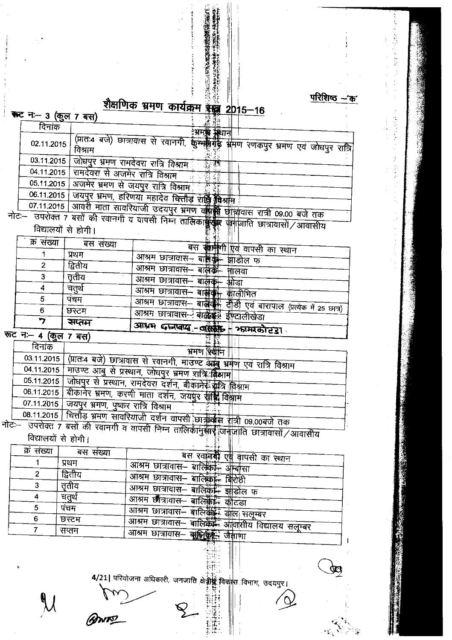परिशिष्ठ $-$ क'

à,

ÿ

#### शैक्षणिक भ्रमण कार्यक्रम इस्ट्र 2015  $16$

|                    | $2015 - 16$                                                                                                                                                                                                                                                                                                                                                                                                                                      |
|--------------------|--------------------------------------------------------------------------------------------------------------------------------------------------------------------------------------------------------------------------------------------------------------------------------------------------------------------------------------------------------------------------------------------------------------------------------------------------|
| कट न- 3 (कुल 7 बस) |                                                                                                                                                                                                                                                                                                                                                                                                                                                  |
| दिनांक             | भ्रमण्ड स्थान                                                                                                                                                                                                                                                                                                                                                                                                                                    |
| 02.11.2015         | (प्रातः4 बजे) छात्रावास से रवानगी, कुस्मानिर्में प्रांमण रणकपुर भ्रमण एवं जोधपुर रात्रि                                                                                                                                                                                                                                                                                                                                                          |
| 03.11.2015         | जोधपुर भ्रमण रामदेवरा रात्रि विश्राम "                                                                                                                                                                                                                                                                                                                                                                                                           |
|                    | 04.11.2015   रामदेवरा से अजमेर रात्रि विश्राम                                                                                                                                                                                                                                                                                                                                                                                                    |
|                    | 05.11.2015   अजमेर भ्रमण से जयपुर रात्रि विश्राम                                                                                                                                                                                                                                                                                                                                                                                                 |
| 06.11.2015         | जयपुर भ्रमण, हरिणया महादेव कितौड़ राष्ट्रि किश्राम                                                                                                                                                                                                                                                                                                                                                                                               |
| 07.11.2015         | अग्वरी माता सावरियाजी उदयपुर भ्रमण वक्ति की<br>छात्रावास रात्री 09.00 बजे तक                                                                                                                                                                                                                                                                                                                                                                     |
|                    | $\overline{\text{HC}}$ $ \overline{\text{C}}$ $\overline{\text{C}}$ $ \overline{\text{C}}$ $\overline{\text{C}}$ $\overline{\text{C}}$ $\overline{\text{C}}$ $\overline{\text{C}}$ $\overline{\text{C}}$ $\overline{\text{C}}$ $\overline{\text{C}}$ $\overline{\text{C}}$ $\overline{\text{C}}$ $\overline{\text{C}}$ $\overline{\text{C}}$ $\overline{\text{C}}$ $\overline{\text{C}}$ $\overline{\text{C}}$ $\overline{\text{C}}$ $\overline$ |

रवानगी व वापसी निम्न तालिकार्क्सिक जनजाति छात्रावासों / आवासीय<br>|-विद्यालयों से होगी।

|            | सप्तम    | $3\overline{13}$ $\overline{13}$ $\overline{14}$ $\overline{14}$ $\overline{14}$ $\overline{14}$ $\overline{14}$ $\overline{14}$ $\overline{14}$ $\overline{14}$ $\overline{14}$ $\overline{14}$ $\overline{14}$ $\overline{14}$ $\overline{14}$ $\overline{14}$ $\overline{14}$ $\overline{14}$ $\overline{14}$ $\overline{14}$ $\overline{14}$ $\overline{14}$ |
|------------|----------|------------------------------------------------------------------------------------------------------------------------------------------------------------------------------------------------------------------------------------------------------------------------------------------------------------------------------------------------------------------|
|            | छस्टम    | आश्रम छात्रावास- बार्केट्ट्स ईंग्टालीखेडा                                                                                                                                                                                                                                                                                                                        |
|            | पचम      | आश्रम छात्रावास- बाले हैं। दीड़ी एवं बारापाल (प्रत्येक में 25 छात्र)                                                                                                                                                                                                                                                                                             |
|            | चतृथे    | आश्रम छात्रावास– बा <b>ल्लेवॉ</b> र्म<br>कालीभित                                                                                                                                                                                                                                                                                                                 |
|            | ततीय     | आश्रम छात्रावास– बालक <del>-</del><br>अोडा                                                                                                                                                                                                                                                                                                                       |
|            | द्वितीय  | आश्रम छात्रावास- बालके- नालवा                                                                                                                                                                                                                                                                                                                                    |
|            | प्रथम    | आश्रम छात्रावास– बालके- झाडील फ                                                                                                                                                                                                                                                                                                                                  |
| क्र संख्या | बस सख्या | 59 P.S.<br>बस समिति एवं वापसी का स्थान                                                                                                                                                                                                                                                                                                                           |

रुट न- 4 (कुल 7 बस)

| दिनांक     | भ्रमण स्थ <del>ैनि</del>                                                 |
|------------|--------------------------------------------------------------------------|
| 03.11.2015 | (प्रातः4 बजे) छात्रावास से रवानगी, माउण्ट आम्बू भ्रमण एवं रात्रि विश्राम |
| 04.11.2015 | माउण्ट आबु से प्रस्थान, जोघपुर भ्रमण रात्रि विभाग                        |
|            | 05.11.2015   जोधपुर से प्रस्थान, रामदेवरा दर्शन, बीकानेरे रात्रि क्रियाम |
|            | 06.11.2015   बीकानेर भ्रमण, करणी माता दर्शन, जयपुर रेड्डी विश्लाम        |
|            | 07.11.2015   जयपुर भ्रमण, पुष्कर रात्रि विश्राम                          |
|            | $08.11.2015$ यित्तौड़ भ्रमण सावरियाजी दर्शन ताक्यी कार्यालय गुन्छ २०,२०० |

ण हो

नोटः– उपरोक्त 7 बसों की रवानगी व वापसी निम्न तालिकांनुसार जनावाली छात्रावासों / आवासीय विद्यालयों से होगी। - II<br>- II  $\parallel$ 

| क्र संख्या | बस संख्या | बस रवाने हैं। एस वापसी का स्थान                    |
|------------|-----------|----------------------------------------------------|
|            | प्रथम     | आश्रम छात्रावास– बाल्किमि अम्बासा                  |
|            | द्वितीय   | आश्रम छात्रावास– बाल्किमि बिरोठी                   |
|            | ततीय      | आश्रम छात्रावास– बालिको– झाडोल फ                   |
|            | चतुर्थ    | आश्रम छौत्रावास– बालिकेनि कौटड़ा                   |
| 5          | पंचम      | आश्रम छात्रावास– बालिसिंह जील सलम्बर               |
| 6          | छस्टम     | आश्रम छात्रावास- बालिकेरें- आवासीय विद्यालय सलम्बर |
|            | सप्तम     | आश्रम छात्रावास- बालिके जैनाणा                     |
|            |           |                                                    |

4/21 परियोजना अधिकारी, जनजाति क्षेत्रीय विकास विभाग, उदयपुर।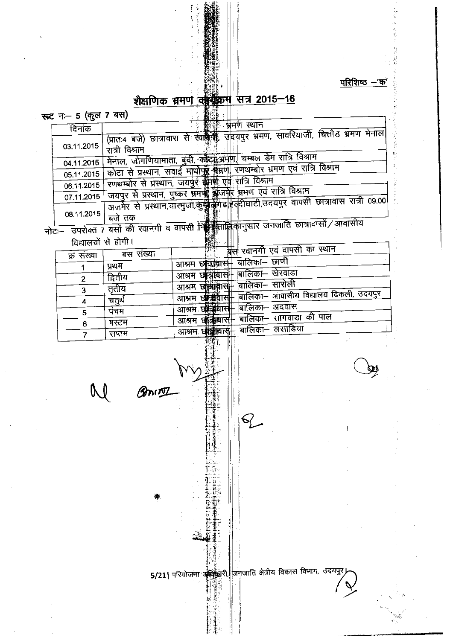परिशिष्ठ $-$ 'क'

 $\mathbf{I}$ 

# शैक्षणिक भ्रमण कार्युक्रम सत्र 2015-16

▓ৣ৾ৄ

**स्तट न:– 5 (कल 7 बस)** 

| $\sim$ $\sim$ $\sim$ $\sim$ $\sim$ $\sim$ $\sim$ |                                                                                      |
|--------------------------------------------------|--------------------------------------------------------------------------------------|
| दिनाक                                            | भ्रमण स्थान                                                                          |
|                                                  | (प्रातः4 बजे) छात्रावास से रवल्लेकी उदयपुर भ्रमण, सावरियाजी, चित्तौड भ्रमण मेनाल     |
| 03.11.2015                                       | रात्री विश्राम                                                                       |
| 04.11.2015                                       | मेनाल, जोगणियामाता, बुंदी, कोट्रो,अमेण, चम्बल डेम रात्रि विश्राम                     |
|                                                  | कोटा से प्रस्थान, सवाई माधोपुरै गैम्रण, रणथम्बोर भ्रमण एवं रात्रि विश्राम            |
| 05.11.2015                                       |                                                                                      |
| 06.11.2015                                       | रणथम्बोर से प्रस्थान, जयपुर स्रामी एहं रात्रि विश्राम                                |
| 07.11.2015                                       | जयपुर से प्रस्थान, पुष्कर भ्रमण्ड्रे क्लेजनीर भ्रमण एवं रात्रि विश्राम               |
|                                                  | अजमेर से प्रस्थान,चारभुजा,कुस्बुद्धेगढ हल्दीघाटी,उदयपुर वापसी छात्रावास रात्री 09.00 |
| 08.11.2015                                       | बजे तक                                                                               |
|                                                  | नोटः उपरोक्त 7 बसों की रवानगी व वापसी निकालीकानुसार जनजाति छात्रावासों / आवासीय      |
| विद्यालयों से होगी।                              |                                                                                      |

| विद्यालयो | स | होगी । |  |
|-----------|---|--------|--|

| ו יייס הי שמשו |           | <u>est</u><br>ாய                                       |
|----------------|-----------|--------------------------------------------------------|
| संख्या<br>क्र  | बस संख्या | बस रवानगी एवं वापसी का स्थान                           |
|                | प्रथम     | बालिका– छाणी<br>छात्रावास⊦<br>आश्रम                    |
| 2              | द्वितीय   | बालिका– खेरवाडा<br>न्त्रावास⊣<br>आश्रम<br>Έī           |
| 3              | तृतीय     | बालिका– सारोली<br>खन्त्रावा<br>आश्रम                   |
| 4              | चतुर्थ    | बालिका— आवासीय विद्यालय ढिकली, उदयपुर<br>可编辑<br>आश्रम  |
| 5              | पंचम      | बालिका– अदवास<br><u>च्छन्द्राचा</u><br>आश्रम.          |
| 6              | षस्टम     | बालिका– सांगवाडा की पाल<br><b>अन्ध्रिया</b> स<br>आश्रम |
|                | सप्तम     | बालिका– लसाडिया<br><b>स्त्रवा</b> लास<br>आश्रमः        |
| г (            |           |                                                        |
| A A            |           |                                                        |

 $\mathcal{M}_{\mathcal{N}_{\mathcal{N}}}$ 

\*

இல்று

क्षेत्रीय विकास विभाग, उदयपुर $\bigwedge$ 5/21| परियोजना अधिकारी जिनजाति क्षेत्रीय विकास विभाग, उदयपुर जिल्ला<br>विभाग, उदयपुर जिल्लामा अधिकारी जिल्लामा अधिकारी जिल्लामा अस्ति ।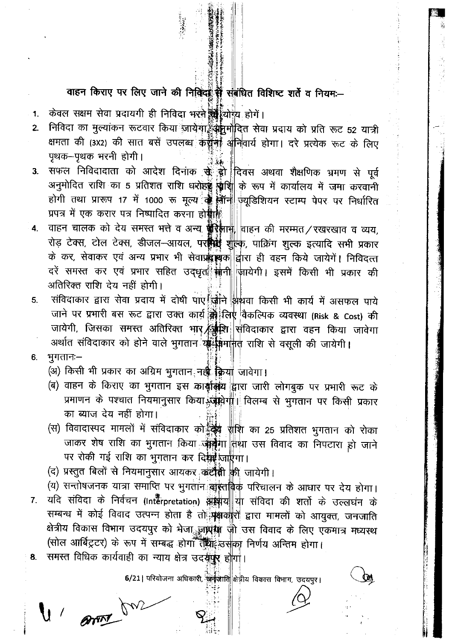## वाहन किराए पर लिए जाने की निक्क्विं में संबंधित विशिष्ट शर्ते व नियम:-

- केवल सक्षम सेवा प्रदायगी ही निविदा भरते की थोगय होगे।  $\mathbf{1}$
- निविदा का मुल्यांकन रूटवार किया जायेगा क्रुक्मपादित सेवा प्रदाय को प्रति रूट 52 यात्री  $2\overline{ }$ क्षमता की (3x2) की सात बसें उपलब्ध कर्कीनों अनिवार्य होगा। दरे प्रत्येक रूट के लिए पृथक-पृथक भरनी होगी।
- सफल निविदादाता को आदेश दिनांक से हो दिवस अथवा शैक्षणिक भ्रमण से पूर्व  $3<sub>1</sub>$ अनुमोदित राशि का 5 प्रतिशत राशि धरोड़ श्लीश्री के रूप में कार्यालय में जमा करवानी होगी तथा प्रारूप 17 में 1000 रू मूल्य ती तीन प्यूडिशियन स्टाम्प पेपर पर निर्धारित प्रपत्र में एक करार पत्र निष्पादित करना हो ।
- वाहन चालक को देय समस्त भत्ते व अन्य कुरे आर्म, वाहन की मरम्मत/रखरखाव व व्यय,  $4.$ रोड़ टेक्स, टोल टेक्स, डीजल-आयल, पर सिंही शुक्लि, पाक्रिंग शुल्क इत्यादि सभी प्रकार के कर, सेवाकर एवं अन्य प्रभार भी सेवाप्रक्रम्बक द्वारा ही वहन किये जायेगें। निविदत्त दरें समस्त कर एवं प्रभार सहित उद्धृत<sup>े</sup> संनी जायेगी। इसमें किसी भी प्रकार की अतिरिक्त राशि देय नहीं होगी।
- संविदाकार द्वारा सेवा प्रदाय में दोषी पाए चिने अथवा किसी भी कार्य में असफल पाये 5. जाने पर प्रभारी बस रूट द्वारा उक्त कार्य को लिए वैकल्पिक व्यवस्था (Risk & Cost) की जायेगी, जिसका समस्त अतिरिक्त भार क्षिप्रि संविदाकार द्वारा वहन किया जावेगा अर्थात संविदाकार को होने वाले भुगतान या किमी मातू राशि से वसूली की जायेगी।
- भूगतानः– 6.
	- (अ) किसी भी प्रकार का अग्रिम भुगतान नहीं किया जावेगा।
	- (ब) वाहन के किराए का भुगतान इस कार्युलिय द्वारा जारी लोगबूक पर प्रभारी रूट के प्रमाणन के पश्चात नियमानुसार किया स्त्रीयोगी विलम्ब से भुगतान पर किसी प्रकार का ब्याज देय नहीं होगा।
	- (स) विवादास्पद मामलों में संविदाकार को स्थि है। हैं का 25 प्रतिशत भुगतान को रोका जाकर शेष राशि का भुगतान किया अन्ने गा तिथा उस विवाद का निपटारा हो जाने पर रोकी गई राशि का भुगतान कर दिग्नी जाएगा।
	- (द) प्रस्तुत बिलों से नियमानुसार आयकर<sub>ा</sub>कटौंसी की जायेगी।
	- (य) सन्तोषजनक यात्रा समाप्ति पर भुगतान बांस्तांबिक परिचालन के आधार पर देय होगा।
- यदि संविदा के निर्वचन (Interpretation) अश्लय या संविदा की शर्तो के उल्लघन के  $7<sub>1</sub>$ सम्बन्ध में कोई विवाद उत्पन्न होता है तो मुक्षकारों द्वारा मामलों को आयुक्त, जनजाति क्षेत्रीय विकास विभाग उदयपुर को भेजा <sub>अ</sub>ज़ांस्का जी उस विवाद के लिए एकमात्र मध्यस्थ (सोल आर्बिट्रटर) के रूप में सम्बद्ध होगा तुष्ट्या उसका निर्णय अन्तिम होगा।
- समस्त विधिक कार्यवाही का न्याय क्षेत्र उदसूषुर होगा। 8.

U ann

6/21 परियोजना अधिकारी, जिनकाति क्षेत्रीय विकास विभाग, उदयपुर।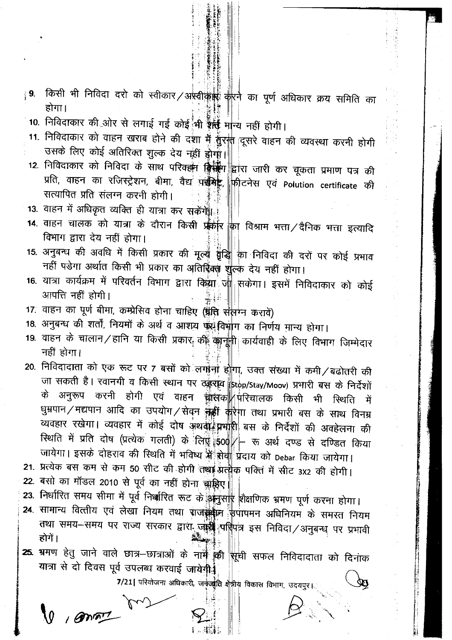- किसी भी निविदा दरो को स्वीकार ⁄ अस्वीकार की की का पूर्ण अधिकार क्रय समिति का ∛9. होगा।
- 10. निविदाकार की ओर से लगाई गई कोई भी ईसी मान्य नहीं होगी।
- 11. निविदाकार को वाहन खराब होने की दुशा में हुँरक्त दूसरे वाहन की व्यवस्था करनी होगी उसके लिए कोई अतिरिक्त शुल्क देय नहीं होगा।
- 12. निविदाकार को निविदा के साथ परिवहन किसी द्वारा जारी कर चूकता प्रमाण पत्र की प्रति, वाहन का रजिस्ट्रेशन, बीमा, वैद्य प**र्श्वमेट्ट**, <mark>फ़ीटनेस एवं Polution certificate की</mark> सत्यापित प्रति संलग्न करनी होगी।
- 13. वाहन में अधिकृत व्यक्ति ही यात्रा कर सकेंगें:
- 14. वाहन चालक को यात्रा के दौरान किसी प्रकार किा विश्राम भत्ता / दैनिक भत्ता इत्यादि विभाग द्वारा देय नहीं होगा।
- 15. अनुबन्ध की अवधि में किसी प्रकार की मूल्यू बुंद्धि का निविदा की दरों पर कोई प्रभाव नहीं पडेगा अर्थात किसी भी प्रकार का अतिरिक्त शुल्क देय नहीं होगा।
- 16. यात्रा कार्यक्रम में परिवर्तन विभाग द्वारा किया जा सकेगा। इसमें निविदाकार को कोई आपत्ति नहीं होगी।
- 17. वाहन का पूर्ण बीमा, कम्प्रेसिव होना चाहिए (प्रति संलग्न करावें)
- 18. अनुबन्ध की शर्तों, नियमों के अर्थ व आशय पर विभाग का निर्णय मान्य होगा।
- 19. वाहन के चालान/हानि या किसी प्रकार की कानूनी कार्यवाही के लिए विभाग जिम्मेदार नही होगा।
- 20. निविदादाता को एक रूट पर 7 बसों को लगाना होगा, उक्त संख्या में कमी/बढोतरी की जा सकती है। रवानगी व किसी स्थान पर ठड़राव stop/Stay/Moov) प्रभारी बस के निर्देशों के अनुरूप करनी होगी एवं वाहन चालका परिचालक किसी भी स्थिति में धुम्रपान/मद्यपान आदि का उपयोग/सेवन केही करेगा तथा प्रभारी बस के साथ विनम्र व्यवहार रखेगा। व्यवहार में कोई दोष अथवाई प्रभारी बस के निर्देशों की अवहेलना की रिथति में प्रति दोष (प्रत्येक गलती) के लिए 500 - रू अर्थ दण्ड से दण्डित किया जायेगा। इसके दोहराव की स्थिति में भविष्य भें सेवा प्रदाय को Debar किया जायेगा।
- 21. प्रत्येक बस कम से कम 50 सीट की होगी तथा प्रतीक पक्ति में सीट 3x2 की होगी।
- 22. बसो का मॉडल 2010 से पूर्व का नहीं होना चाहिए

 $9,80$ 

- 23. निर्धारित समय सीमा में पूर्व निक्करित रूट के कुन्नुस¶र शैक्षणिक भ्रमण पूर्ण करना होगा।
- 24. सामान्य वित्तीय एवं लेखा नियम तथा राजस्थान फपापमन अधिनियम के समस्त नियम तथा समय-समय पर राज्य सरकार द्वारा जांडी पतिपत्र इस निविदा/अनुबन्ध पर प्रभावी होगें।
- 25. भ्रमण हेतु जाने वाले छात्र–छात्राओं के नामें की सूची सफल निविदादाता को दिनांक यात्रा से दो दिवस पूर्व उपलब्ध करवाई जायेगी.

7/21 परियोजना अधिकारी, जर्नुज़ारैति क्षेत्रीय विकास विभाग, उदयपुर।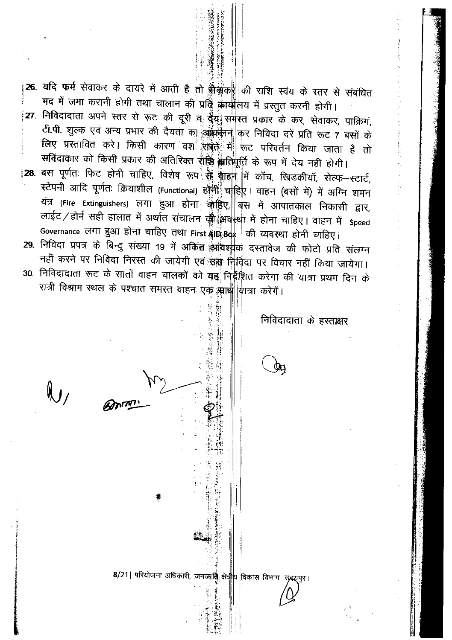- 26. यदि फर्म सेवाकर के दायरे में आती है तो सेकूंका की राशि स्वंय के स्तर से संबंधित मद में जमा करानी होगी तथा चालान की प्रति कार्यालय में प्रस्तुत करनी होगी। 27. निविदादाता अपने स्तर से रूट की दूरी <u>व</u> **देंग्रें समर्रत प्रकार के कर, सेवाकर, पाक्रिग,** टी.पी. शुल्क एवं अन्य प्रभार की दैयता का अक्क़ी न| कर निविदा दरें प्रति रूट 7 बसों के लिए प्रस्तावित करें। किसी कारण वश<sup>े</sup> राष्ट्री में रूट परिवर्तन किया जाता है तो सविंदाकार को किसी प्रकार की अतिरिक्त राष्ट्रि श्लेतिपूर्ति के रूप में देय नहीं होगी। ं28. बस पूर्णतः फिट होनी चाहिए, विशेष रूप<sup>ें</sup> सु बाहनी में कॉच, खिडकीयॉ, सेल्फ—स्टार्ट,
- स्टेपनी आदि पूर्णतः क्रियाशील (Functional) होनी चाहिए। वाहन (बसों में) में अग्नि शमन यंत्र (Fire Extinguishers) लगा हुआ होना चाहिए, बस में आपातकाल निकासी द्वार, लाईट/होर्न सही हालात में अर्थात संचालन की अवस्था में होना चाहिए। वाहन में Speed Governance लगा हुआ होना चाहिए तथा First श्रीप्रेष्ठिक की व्यवस्था होनी चाहिए।
- 29. निविदा प्रपत्र के बिन्दु संख्या 19 में अकिंत आंवश्यक दस्तावेज की फोटो प्रति संलग्न नहीं करने पर निविदा निरस्त की जायेगी एवं उस निविदा पर विचार नहीं किया जायेगा। 30. निविदादाता रूट के सातों वाहन चालकों को यह निर्देशित करेगा की यात्रा प्रथम दिन के रात्री विश्राम स्थल के पश्चात समस्त वाहन एक साथ यात्रा करेगें।

निविदादाता के हस्ताक्षर

8/21 परियोजना अधिकारी, जनजाति क्षेत्रीय विकास विभाग, उदयुपुर।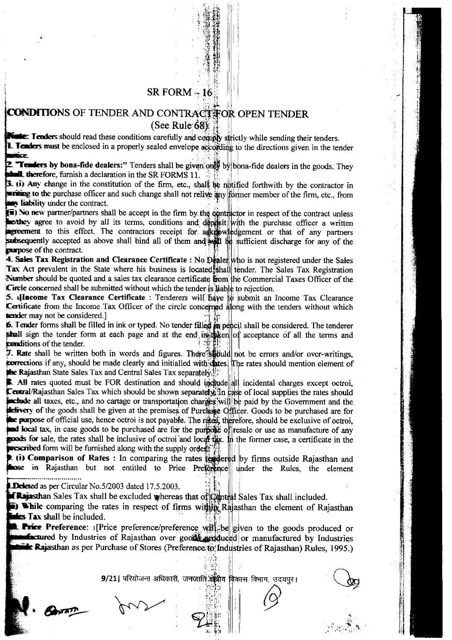### SR FORM  $-16$

## OF TENDER AND CONTRACT FOR OPEN TENDER (See Rule  $68$ )

Tenders should read these conditions carefully and comply strictly while sending their tenders. Tenders must be enclosed in a properly sealed envelope according to the directions given in the tender **BACK** 

**Tenders by bona-fide dealers:**" Tenders shall be given only by bona-fide dealers in the goods. They traffit. therefore, furnish a declaration in the SR FORMS 11.

**In Trability under the contract.**  $\overline{u}$ ) Any change in the constitution of the firm, etc., shall be notified forthwith by the contractor in to the purchase officer and such change shall not relive any former member of the firm, etc., from<br>itivy under the contract.

No new partner/partners shall be accept in the firm by the contractor in respect of the contract unless<br>hey agree to avoid by all its terms, conditions and deposit with the purchase officer a written to this effect. The contractors receipt for a kipwledgement or that of any partners tly accepted as above shall bind all of them and will be sufficient discharge for any of the **EXECUTORE** of the contract. they agree to avoid by all its terms, conditions and deprisit with the purchase officer a written

Number should be quoted and a sales tax clearance certificate from the Commercial Taxes Officer of the **Circle concerned shall be submitted without which the tender is liable to rejection.** 4. Sales Tax Registration and Clearance Certificate : No Dealer who is not registered under the Sales Tax Act prevalent in the State where his business is located shall tender. The Sales Tax Registration

5. **Il neome Tax Clearance Certificate** : Tenderers will have to submit an Income Tax Clearance Certificate from the Income Tax Officer of the circle concerned along with the tenders without which **lender** may not be considered.]

 $\triangleright$ . Tender forms shall be filled in ink or typed. No tender filled  $\frac{1}{2}$  pencil shall be considered. The tenderer sign the tender form at each page and at the end  $\mathbf{u}_k$  the  $\|\mathbf{v}_k\|$  acceptance of all the terms and **conditions** of the tender.

. Rate shall be written both in words and figures. There spotled not be errors and/or over-writings, if any, should be made clearly and initialled with dates. The rates should mention element of **Rajasthan State Sales Tax and Central Sales Tax separately.**<sup>13</sup>

All rates quoted must be FOR destination and should incelled all incidental charges except octroi, Sales Tax which should be shown separately. In case of local supplies the rates should ude all taxes, etc., and no cartage or transportation charges will be paid by the Government and the very of the goods shall be given at the premises of Pureliase Officer. Goods to be purchased are for purpose of official use, hence octroi is not payable. The rates, therefore, should be exclusive of octroi, local tax, in case goods to be purchased are for the purpose of resale or use as manufacture of any **goods** for sale, the rates shall be inclusive of octroi and local that. In the former case, a certificate in the **rescribed** form will be furnished along with the supply order

**t.** (i) Comparison of Rates : In comparing the rates tendered by firms outside Rajasthan and **nose** in Rajasthan but not entitled to Price Preference under the Rules, the element

Deleted as per Circular No.5/2003 dated 17.5.2003.

**Rajasthan** Sales Tax shall be excluded whereas that of Central Sales Tax shall included.

**i)** While comparing the rates in respect of firms within Rajasthan the element of Rajasthan  $\frac{1}{2}$ 

**Tax shall be included.** The preference/preference will be given to the goods produced or **be tured** by Industries of Rajasthan over goods ariduced or manufactured by Industries<br>Let Rajasthan as per Purchase of Stores (Preference to Industries of Rajasthan) Rules, 1995.) **Extured** by Industries of Rajasthan over goods are duced or manufactured by Industries

> 9/21| परियोजना अधिकारी, जनजाति क्ष<mark>ेत्री</mark>य ':r ^i '; i'' l'" , .l::i) विभाग, उदयपुर $\overline{\bigodot}$

'.: . .i,..i,

 $\begin{matrix}1 & 1 & 1 \\ 1 & 1 & 1 \\ 1 & 1 & 1 \\ 1 & 1 & 1 \\ 1 & 1 & 1 \\ 1 & 1 & 1 \\ 1 & 1 & 1 \\ 1 & 1 & 1 \\ 1 & 1 & 1 \\ 1 & 1 & 1 \\ 1 & 1 & 1 \\ 1 & 1 & 1 \\ 1 & 1 & 1 \\ 1 & 1 & 1 \\ 1 & 1 & 1 \\ 1 & 1 & 1 \\ 1 & 1 & 1 \\ 1 & 1 & 1 \\ 1 & 1 & 1 \\ 1 & 1 & 1 & 1 \\ 1 & 1 & 1 & 1 \\ 1 & 1 & 1 & 1 \\ 1 & 1 & 1 &$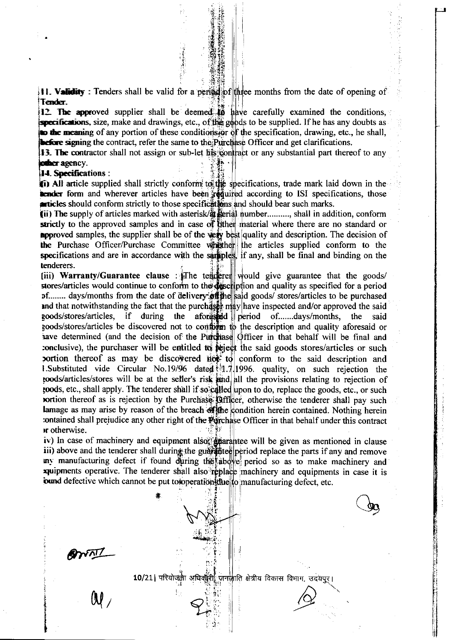**11. Validity**: Tenders shall be valid for a period of three months from the date of opening of Tender.

12. The approved supplier shall be deemed to have carefully examined the conditions, **to be supplied.** If he has any doubts as seen and drawings, etc., of the goods to be supplied. If he has any doubts as to the meaning of any portion of these conditions for of the specification, drawing, etc., he shall, **before signing the contract, refer the same to the Purchase Officer and get clarifications.** 

**13. The contractor shall not assign or sub-let his contract or any substantial part thereof to any** other agency.

**14. Specifications:** 

**(ii) All article supplied shall strictly conform to the specifications, trade mark laid down in the tender form and wherever articles have been regulated according to ISI specifications, those** articles should conform strictly to those specifications and should bear such marks.

(ii) The supply of articles marked with asterisk/ $\frac{d}{dt}$  serial number.........., shall in addition, conform strictly to the approved samples and in case of bither material where there are no standard or **approved** samples, the supplier shall be of the  $\psi$  best quality and description. The decision of the Purchase Officer/Purchase Committee white the articles supplied conform to the specifications and are in accordance with the samples, if any, shall be final and binding on the tenderers.

(iii) Warranty/Guarantee clause : The tenderer would give guarantee that the goods/ stores/articles would continue to conform to the description and quality as specified for a period pf........ days/months from the date of delivery of the said goods/ stores/articles to be purchased and that notwithstanding the fact that the purchaser may have inspected and/or approved the said goods/stores/articles, if during the aforestide period of.......days/months, the said goods/stores/articles be discovered not to confidently to the description and quality aforesaid or have determined (and the decision of the Purchase Officer in that behalf will be final and conclusive), the purchaser will be entitled to reject the said goods stores/articles or such portion thereof as may be discovered  $\overrightarrow{H}$  to conform to the said description and 1. Substituted vide Circular No. 19/96 dated  $\frac{1}{3}$  1996. quality, on such rejection the toods/articles/stores will be at the seller's risk and all the provisions relating to rejection of roods, etc., shall apply. The tenderer shall if so called upon to do, replace the goods, etc., or such **rortion** thereof as is rejection by the Purchase **Califficer**, otherwise the tenderer shall pay such lamage as may arise by reason of the breach of the condition herein contained. Nothing herein iontained shall prejudice any other right of the **Purchase** Officer in that behalf under this contract **ir** otherwise.

iv) In case of machinery and equipment also  $\frac{1}{2}$  that antice will be given as mentioned in clause iii) above and the tenderer shall during the guarantee period replace the parts if any and remove my manufacturing defect if found during the above period so as to make machinery and **xyuipments** operative. The tenderer shall also replace machinery and equipments in case it is ixtured defective which cannot be put to to peration due to manufacturing defect, etc.

g.

annl

10/21 । परियोजनी अधिकारी जनलाति क्षेत्रीय विकास विभाग, उदयपुर्।<br>()<br>()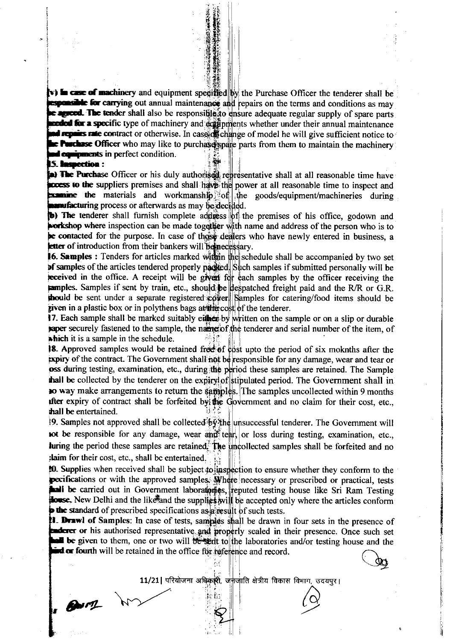possible for carrying out annual maintenance and repairs on the terms and conditions as may agreed. The tender shall also be responsitile to ensure adequate regular supply of spare parts **h** case of machinery and equipment specified by the Purchase Officer the tenderer shall be not the experiment of must make the model in the model in the multiple model in the multiple representation of model in will give sufficient notice to **Hurchase Officer** who may like to purchase sparts from them to maintain the machinery **nd equipments in perfect condition. 5. Inspection :** a specific type of machinery and suffipments whether under their annual maintenance

the materials and workmanship of the goods/equipment/machineries during The Purchase Officer or his duly authorised representative shall at all reasonable time have ess to the suppliers premises and shall have the power at all reasonable time to inspect and **anufacturing** process or afterwards as may be decided.

The tenderer shall furnish complete address of the premises of his office, godown and where inspection can be made together with name and address of the person who is to contacted for the purpose. In case of those dealers who have newly entered in business, a letter of introduction from their bankers will beline cessary.

Samples : Tenders for articles marked within the schedule shall be accompanied by two set of samples of the articles tendered properly packed. Such samples if submitted personally will be eceived in the office. A receipt will be given for each samples by the officer receiving the pamples. Samples if sent by train, etc., should be despatched freight paid and the R/R or G.R. thould be sent under a separate registered cover Samples for catering/food items should be piven in a plastic box or in polythens bags at the cost of the tenderer.

17. Each sample shall be marked suitably either by written on the sample or on a slip or durable paper securely fastened to the sample, the name of the tenderer and serial number of the item, of which it is a sample in the schedule.

**18.** Approved samples would be retained free of epst upto the period of six moknths after the  ${\bf p}$ iry of the contract. The Government shall not be responsible for any damage, wear and tear or oss during testing, examination, etc., during the period these samples are retained. The Sample thall be collected by the tenderer on the expiry of stipulated period. The Government shall in to way make arrangements to return the samples. The samples uncollected within 9 months after expiry of contract shall be forfeited by the Government and no claim for their cost, etc., **thall be entertained.** 

19. Samples not approved shall be collected by the unsuccessful tenderer. The Government will not be responsible for any damage, wear and tear, or loss during testing, examination, etc., luring the period these samples are retained. The uncollected samples shall be forfeited and no : laim for their cost, etc., shall be entertained.

Supplies when received shall be subject to inspection to ensure whether they conform to the ifications or with the approved samples. Where necessary or prescribed or practical, tests be carried out in Government laboratories, reputed testing house like Sri Ram Testing New Delhi and the like and the supplies will be accepted only where the articles conform the standard of prescribed specifications as a result of such tests.

Drawl of Samples: In case of tests, samples shall be drawn in four sets in the presence of or his authorised representative and properly sealed in their presence. Once such set be given to them, one or two will be sent to the laboratories and/or testing house and the or fourth will be retained in the office for reference and record,

11/21 | परियोजना अधिकारी, जर्मजाति क्षेत्रीय विकास विभाग, उदयपुर।<br>बाल के साथ कारण के साथ कारण करने के साथ कारण के साथ कारण करने हो के बाद करने के बाद करने के साथ करने हो कारण

 $\overline{\mathcal{C}}$ 

 $Brf1$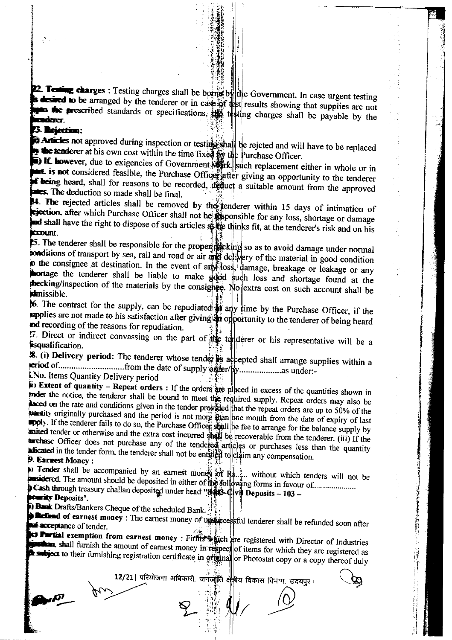2. Testing charges : Testing charges shall be borne by the Government. In case urgent testing desired to be arranged by the tenderer or in case of test results showing that supplies are not the prescribed standards or specifications, the testing charges shall be payable by the lere-

#### **3. Rejection:**

**N** Articles not approved during inspection or testings shall be rejeted and will have to be replaced **the tenderer** at his own cost within the time fixed by the Purchase Officer.

**E.** If however, due to exigencies of Government  $\mathbf{W}$ rk such replacement either in whole or in s not considered feasible, the Purchase Officer after giving an opportunity to the tenderer **f** being heard, shall for reasons to be recorded, deduct a suitable amount from the approved **External The deduction so made shall be final.** 

14. The rejected articles shall be removed by the tenderer within 15 days of intimation of ejection, after which Purchase Officer shall not be supposible for any loss, shortage or damage ad shall have the right to dispose of such articles as the thinks fit, at the tenderer's risk and on his **CCOUnt.** 

5. The tenderer shall be responsible for the proper packing so as to avoid damage under normal ponditions of transport by sea, rail and road or air and delivery of the material in good condition io the consignee at destination. In the event of any loss, damage, breakage or leakage or any hortage the tenderer shall be liable to make good such loss and shortage found at the the cking/inspection of the materials by the consignce. No extra cost on such account shall be **idmissible.** 

66. The contract for the supply, can be repudiated any time by the Purchase Officer, if the applies are not made to his satisfaction after giving an opportunity to the tenderer of being heard and recording of the reasons for repudiation.

7. Direct or indirect convassing on the part of the tenderer or his representative will be a **isqualification.** 

18. (i) Delivery period: The tenderer whose tender is accepted shall arrange supplies within a LNo. Items Quantity Delivery period

 $\ddot{\mathbf{r}}$ ) Extent of quantity – Repeat orders : If the orders are placed in excess of the quantities shown in moder the notice, the tenderer shall be bound to meet the required supply. Repeat orders may also be laced on the rate and conditions given in the tender provided that the repeat orders are up to 50% of the exantity originally purchased and the period is not more than one month from the date of expiry of last apply. If the tenderer fails to do so, the Purchase Officer shall be fee to arrange for the balance supply by anited tender or otherwise and the extra cost incurred shall be recoverable from the tenderer. (iii) If the tarchase Officer does not purchase any of the tendered articles or purchases less than the quantity adicated in the tender form, the tenderer shall not be entitled to claim any compensation.

### 9 Earnest Money:

 $\bullet$  Tender shall be accompanied by an earnest money of Rs..... without which tenders will not be asidered. The amount should be deposited in either of the following forms in favour of........................ Cash through treasury challan deposited under head "848-Civil Deposits - 103 -

**Earlity Deposits".** 

 $\mathcal{L}$ 

**Burnsk Drafts/Bankers Cheque of the scheduled Bank.** 

an

**Referred of earnest money**: The earnest money of unsuccessful tenderer shall be refunded soon after acceptance of tender.

**Partial exemption from earnest money: Firms which are registered with Director of Industries Example 1** shall furnish the amount of earnest money in respect of items for which they are registered as subject to their furnishing registration certificate in original or Photostat copy or a copy thereof duly

12/21 परियोजना अधिकारी, जनजीति क्षेत्रीय विकास विभाग, उदयपुर।